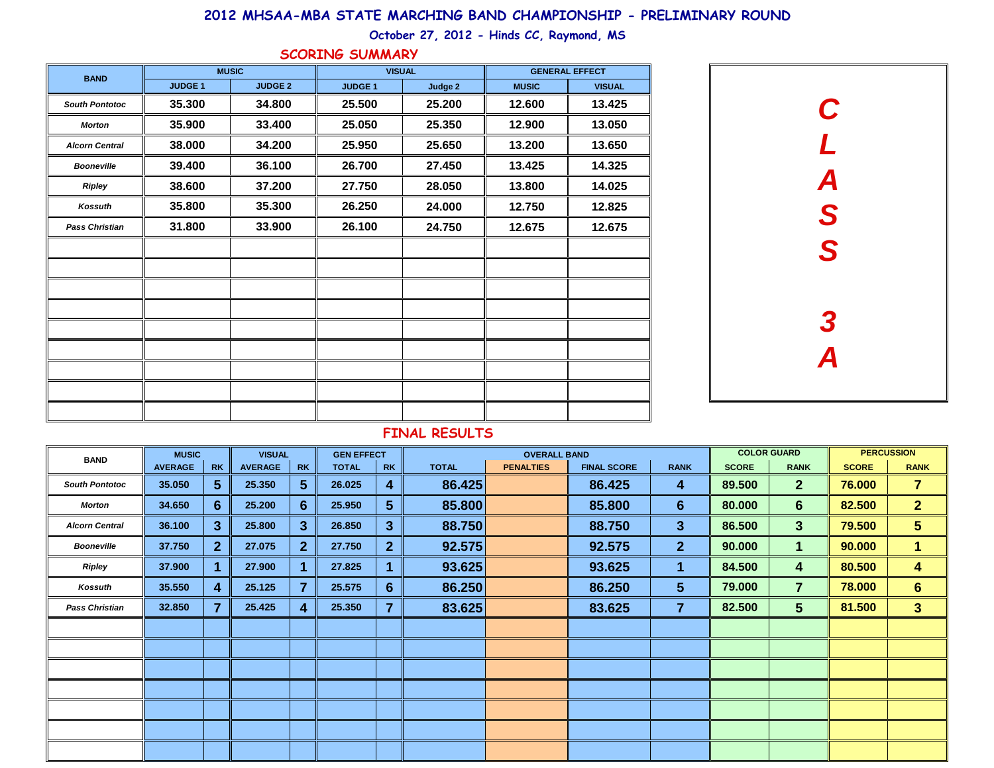## **2012 MHSAA-MBA STATE MARCHING BAND CHAMPIONSHIP - PRELIMINARY ROUND**

**October 27, 2012 - Hinds CC, Raymond, MS**

| <b>BAND</b>           | <b>MUSIC</b>   |                | <b>VISUAL</b> |         | <b>GENERAL EFFECT</b> |               |  |  |  |  |
|-----------------------|----------------|----------------|---------------|---------|-----------------------|---------------|--|--|--|--|
|                       |                |                |               |         |                       |               |  |  |  |  |
|                       | <b>JUDGE 1</b> | <b>JUDGE 2</b> | <b>JUDGE1</b> | Judge 2 | <b>MUSIC</b>          | <b>VISUAL</b> |  |  |  |  |
| <b>South Pontotoc</b> | 35.300         | 34.800         | 25.500        | 25.200  | 12.600                | 13.425        |  |  |  |  |
| <b>Morton</b>         | 35.900         | 33.400         | 25.050        | 25.350  | 12.900                | 13.050        |  |  |  |  |
| <b>Alcorn Central</b> | 38.000         | 34.200         | 25.950        | 25.650  | 13.200                | 13.650        |  |  |  |  |
| <b>Booneville</b>     | 39.400         | 36.100         | 26.700        | 27.450  | 13.425                | 14.325        |  |  |  |  |
| Ripley                | 38.600         | 37.200         | 27.750        | 28.050  | 13.800                | 14.025        |  |  |  |  |
| Kossuth               | 35.800         | 35.300         | 26.250        | 24.000  | 12.750                | 12.825        |  |  |  |  |
| <b>Pass Christian</b> | 31.800         | 33.900         | 26.100        | 24.750  | 12.675                | 12.675        |  |  |  |  |
|                       |                |                |               |         |                       |               |  |  |  |  |
|                       |                |                |               |         |                       |               |  |  |  |  |
|                       |                |                |               |         |                       |               |  |  |  |  |
|                       |                |                |               |         |                       |               |  |  |  |  |
|                       |                |                |               |         |                       |               |  |  |  |  |
|                       |                |                |               |         |                       |               |  |  |  |  |
|                       |                |                |               |         |                       |               |  |  |  |  |
|                       |                |                |               |         |                       |               |  |  |  |  |
|                       |                |                |               |         |                       |               |  |  |  |  |

## **SCORING SUMMARY**



## **FINAL RESULTS**

| <b>BAND</b>           | <b>MUSIC</b>   |                | <b>VISUAL</b>  |                  | <b>GEN EFFECT</b> |                |              | <b>OVERALL BAND</b> |                    |                 | <b>COLOR GUARD</b> |                         | <b>PERCUSSION</b> |                         |
|-----------------------|----------------|----------------|----------------|------------------|-------------------|----------------|--------------|---------------------|--------------------|-----------------|--------------------|-------------------------|-------------------|-------------------------|
|                       | <b>AVERAGE</b> | <b>RK</b>      | <b>AVERAGE</b> | <b>RK</b>        | <b>TOTAL</b>      | <b>RK</b>      | <b>TOTAL</b> | <b>PENALTIES</b>    | <b>FINAL SCORE</b> | <b>RANK</b>     | <b>SCORE</b>       | <b>RANK</b>             | <b>SCORE</b>      | <b>RANK</b>             |
| <b>South Pontotoc</b> | 35.050         | 5 <sup>5</sup> | 25.350         | $5\phantom{1}$   | 26.025            | 4              | 86.425       |                     | 86.425             | 4               | 89.500             | 2 <sup>2</sup>          | 76.000            | $\overline{7}$          |
| Morton                | 34.650         | $6\phantom{1}$ | 25.200         | $6 \overline{6}$ | 25.950            | 5 <sup>5</sup> | 85.800       |                     | 85.800             | $6\phantom{1}$  | 80.000             | $6\phantom{1}$          | 82.500            | 2 <sub>1</sub>          |
| <b>Alcorn Central</b> | 36.100         | $\mathbf{3}$   | 25.800         | $\mathbf{3}$     | 26.850            | $\mathbf{3}$   | 88.750       |                     | 88.750             | $\mathbf{3}$    | 86.500             | 3 <sup>1</sup>          | 79.500            | 5                       |
| <b>Booneville</b>     | 37.750         | $\mathbf{2}$   | 27.075         | $\mathbf{2}$     | 27.750            | $\overline{2}$ | 92.575       |                     | 92.575             | $\overline{2}$  | 90.000             | $\mathbf 1$             | 90.000            | $\blacksquare$          |
| Ripley                | 37.900         |                | 27.900         | 1                | 27.825            |                | 93.625       |                     | 93.625             | 1               | 84.500             | $\overline{\mathbf{4}}$ | 80.500            | $\overline{\mathbf{4}}$ |
| Kossuth               | 35.550         | 4              | 25.125         | $\overline{7}$   | 25.575            | 6              | 86.250       |                     | 86.250             | $5\phantom{.0}$ | 79.000             | $\overline{7}$          | 78.000            | 6 <sup>1</sup>          |
| <b>Pass Christian</b> | 32.850         | $\overline{7}$ | 25.425         | 4                | 25.350            | 7              | 83.625       |                     | 83.625             | $\overline{7}$  | 82.500             | 5 <sup>5</sup>          | 81.500            | $\overline{\mathbf{3}}$ |
|                       |                |                |                |                  |                   |                |              |                     |                    |                 |                    |                         |                   |                         |
|                       |                |                |                |                  |                   |                |              |                     |                    |                 |                    |                         |                   |                         |
|                       |                |                |                |                  |                   |                |              |                     |                    |                 |                    |                         |                   |                         |
|                       |                |                |                |                  |                   |                |              |                     |                    |                 |                    |                         |                   |                         |
|                       |                |                |                |                  |                   |                |              |                     |                    |                 |                    |                         |                   |                         |
|                       |                |                |                |                  |                   |                |              |                     |                    |                 |                    |                         |                   |                         |
|                       |                |                |                |                  |                   |                |              |                     |                    |                 |                    |                         |                   |                         |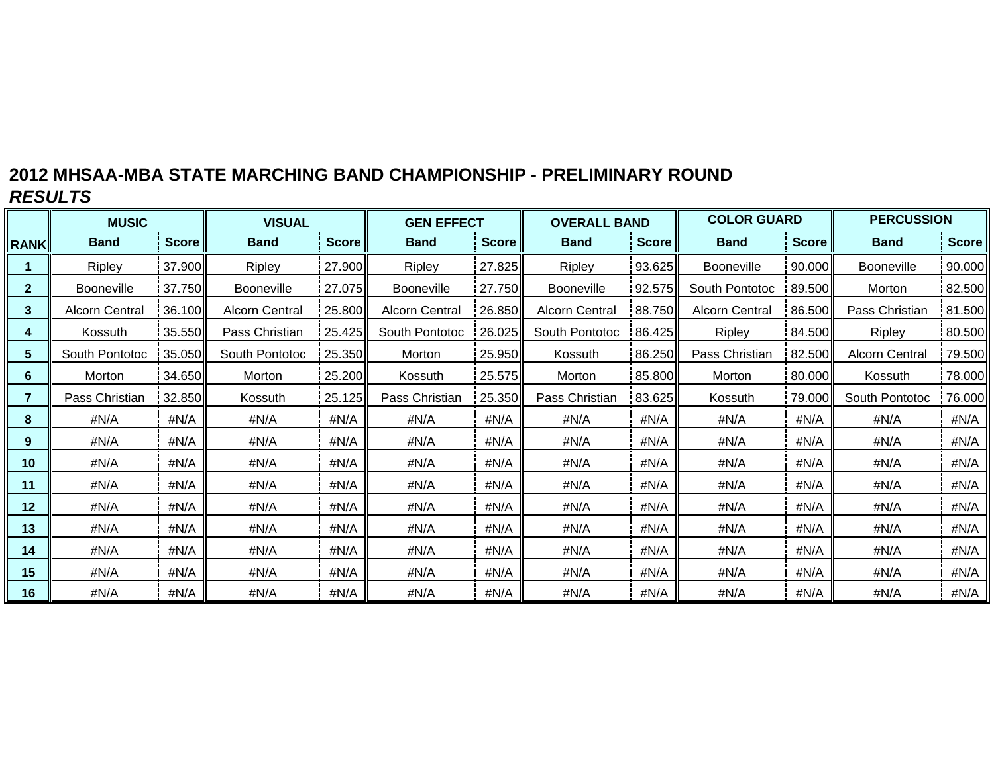# **2012 MHSAA-MBA STATE MARCHING BAND CHAMPIONSHIP - PRELIMINARY ROUND** *RESULTS*

|                 | <b>MUSIC</b>          |        | <b>VISUAL</b>         |              | <b>GEN EFFECT</b>     |                          | <b>OVERALL BAND</b>   |              | <b>COLOR GUARD</b>    |              | <b>PERCUSSION</b>     |              |  |
|-----------------|-----------------------|--------|-----------------------|--------------|-----------------------|--------------------------|-----------------------|--------------|-----------------------|--------------|-----------------------|--------------|--|
| <b>RANK</b>     | <b>Band</b>           | Score  | <b>Band</b>           | <b>Score</b> | <b>Band</b>           | <b>Score</b>             | <b>Band</b>           | <b>Score</b> | <b>Band</b>           | <b>Score</b> | <b>Band</b>           | <b>Score</b> |  |
|                 | Ripley                | 37.900 | Ripley                | 27.900       | Ripley                | 27.825                   | Ripley                | 93.625       | <b>Booneville</b>     | 90.000       | Booneville            | 90.000       |  |
| $\mathbf{2}$    | <b>Booneville</b>     | 37.750 | <b>Booneville</b>     | 27.075       | <b>Booneville</b>     | 27.750                   | <b>Booneville</b>     | 92.575       | South Pontotoc        | 89.500       | Morton                | 82.500       |  |
| 3               | <b>Alcorn Central</b> | 36.100 | <b>Alcorn Central</b> | 25.800       | <b>Alcorn Central</b> | 26.850                   | <b>Alcorn Central</b> | 88.750       | <b>Alcorn Central</b> | 86.500       | Pass Christian        | 81.500       |  |
| 4               | Kossuth               | 35.550 | Pass Christian        | 25.425       | South Pontotoc        | 26.025                   | South Pontotoc        | 86.425       | <b>Ripley</b>         | 84.500       | Ripley                | 80.500       |  |
| $5\phantom{.0}$ | South Pontotoc        | 35.050 | South Pontotoc        | 25.350       | Morton                | 25.950                   | Kossuth               | 86.250       | Pass Christian        | 82.500       | <b>Alcorn Central</b> | 79.500       |  |
| 6               | Morton                | 34.650 | Morton                | 25.200       | Kossuth               | 25.575                   | Morton                | 85.800       | Morton                | 80.000       | Kossuth               | 78.000       |  |
| $\overline{7}$  | Pass Christian        | 32.850 | Kossuth               | 25.125       | Pass Christian        | 25.350<br>Pass Christian |                       | 83.625       | Kossuth               | 79.000       | South Pontotoc        | 76.000       |  |
| 8               | #N/A                  | #N/A   | #N/A                  | #N/A         | #N/A                  | #N/A                     | #N/A                  | #N/A         | #N/A                  | #N/A         | #N/A                  | #N/A         |  |
| 9               | #N/A                  | #N/A   | #N/A                  | #N/A         | #N/A                  | #N/A                     | #N/A                  | #N/A         | #N/A                  | #N/A         | #N/A                  | #N/A         |  |
| 10              | #N/A                  | #N/A   | #N/A                  | #N/A         | #N/A                  | #N/A                     | #N/A                  | #N/A         | #N/A                  | #N/A         | #N/A                  | #N/A         |  |
| 11              | #N/A                  | #N/A   | #N/A                  | #N/A         | #N/A                  | #N/A                     | #N/A                  | #N/A         | #N/A                  | #N/A         | #N/A                  | #N/A         |  |
| 12              | #N/A                  | #N/A   | #N/A                  | #N/A         | #N/A                  | #N/A                     | #N/A                  | #N/A         | #N/A                  | #N/A         | #N/A                  | #N/A         |  |
| 13              | #N/A                  | #N/A   | #N/A                  | #N/A         | #N/A                  | #N/A                     | #N/A                  | #N/A         | #N/A                  | #N/A         | #N/A                  | #N/A         |  |
| 14              | #N/A                  | #N/A   | #N/A                  | #N/A         | #N/A                  | #N/A                     | #N/A                  | #N/A         | #N/A                  | #N/A         | #N/A                  | #N/A         |  |
| 15              | #N/A                  | #N/A   | #N/A                  | #N/A         | #N/A                  | #N/A                     | #N/A                  | #N/A         | #N/A                  | #N/A         | #N/A                  | #N/A         |  |
| 16              | #N/A                  | #N/A   | #N/A                  | #N/A         | #N/A                  | #N/A                     | #N/A<br>#N/A          |              | #N/A                  | #N/A         | #N/A                  | #N/A         |  |